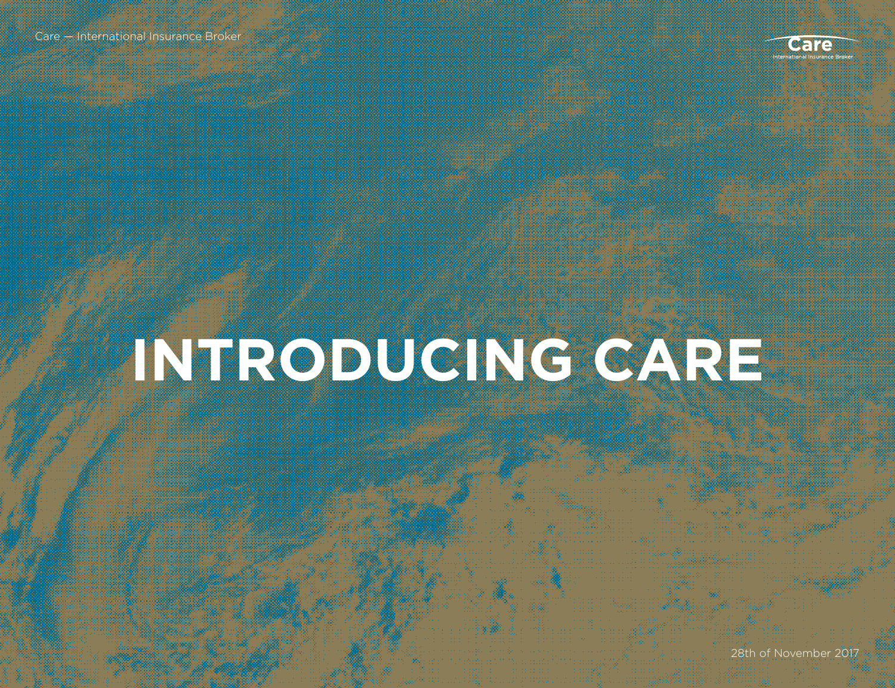

### **INTRODUCING CARE**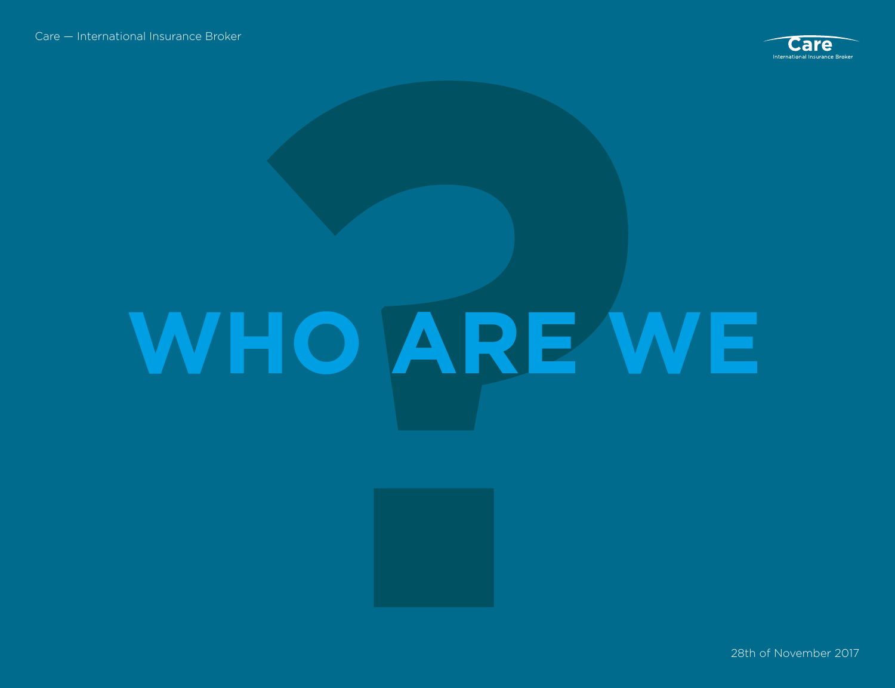

# **WHO ARE WE**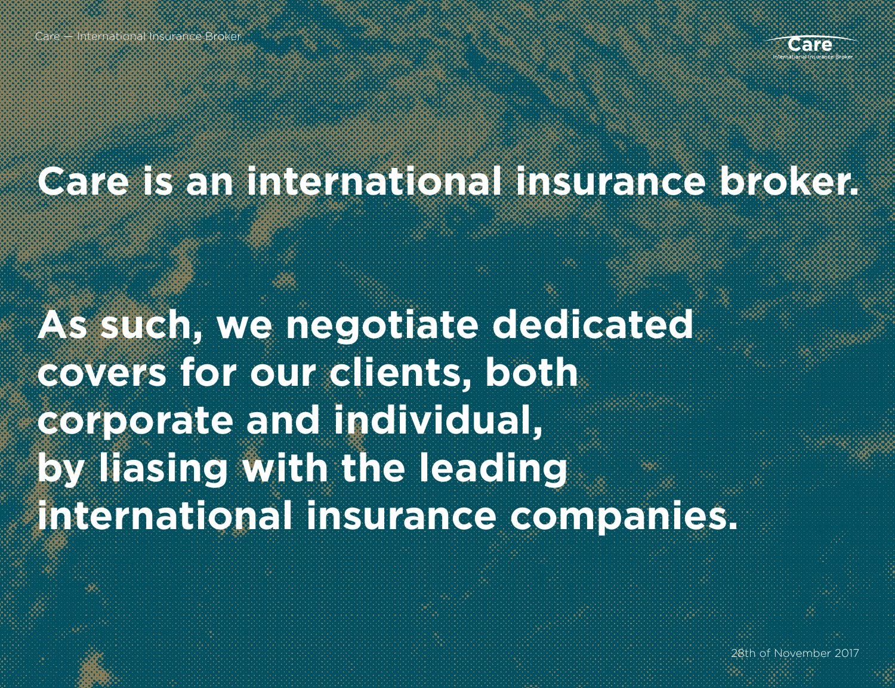

#### **Care is an international insurance broker.**

**As such, we negotiate dedicated covers for our clients, both corporate and individual, by liasing with the leading international insurance companies.**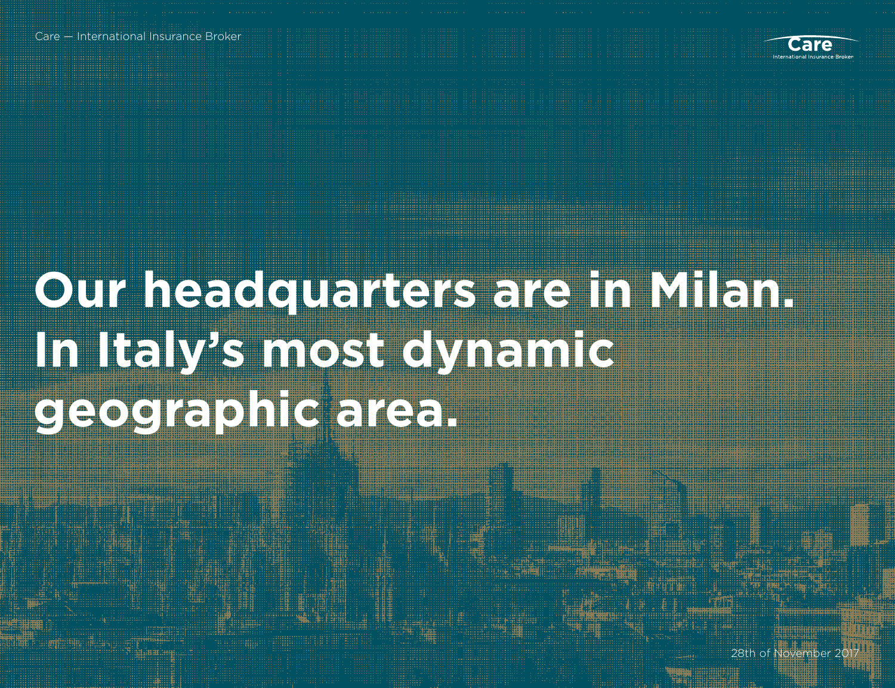Care — International Insurance Broker



#### **Our headquarters are in Milan. In Italy's most dynamic geographic area.**

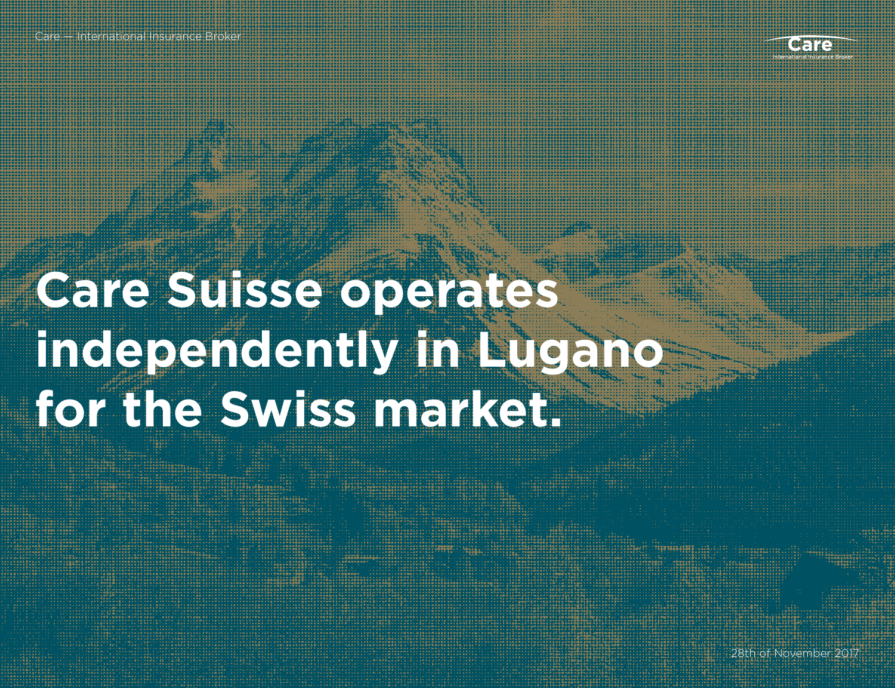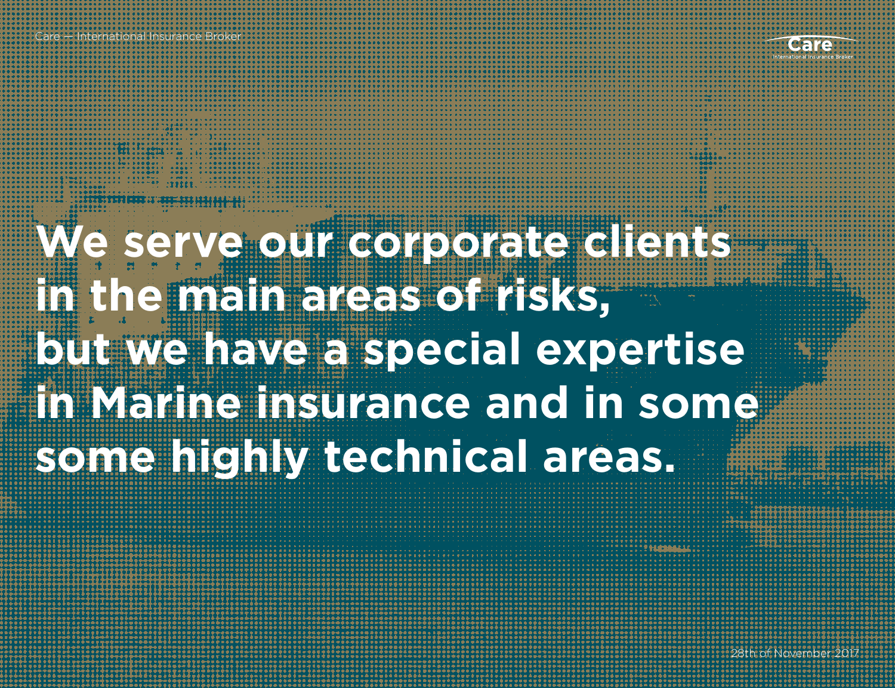Care — International Insurance Broker

**We serve our corporate clients in the main areas of risks, but we have a special expertise in Marine insurance and in some some highly technical areas.**

HAMMARKE

Care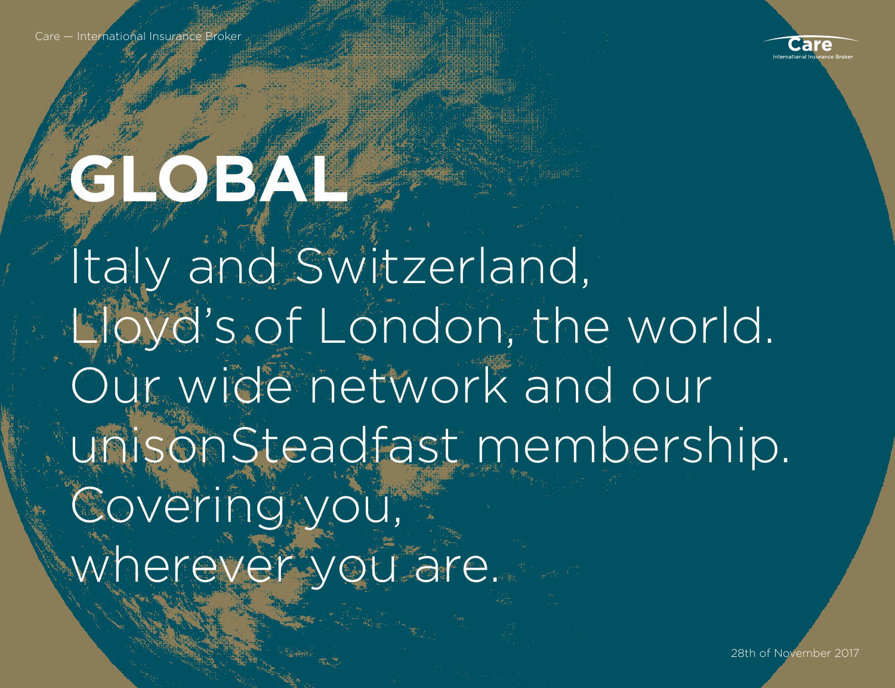Care — International Insurance Brol



### **GOBAL**

Italy and Switzerland, Lloyd's of London, the world. Our wide network and our unisonSteadfast membership. Covering you, wherever you are.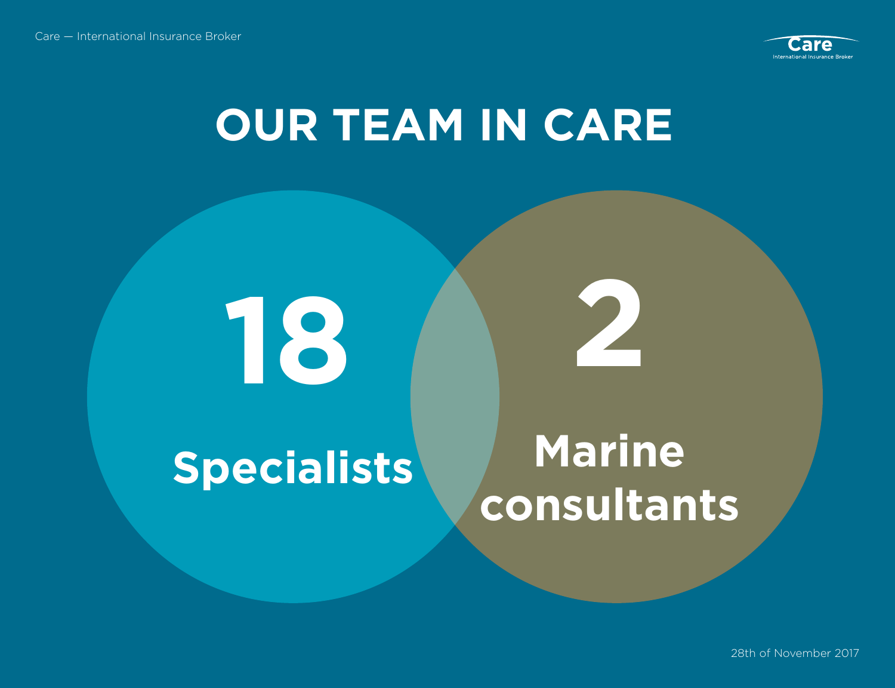

#### **OUR TEAM IN CARE**

**18 2**

#### **Specialists** Marine

### **consultants**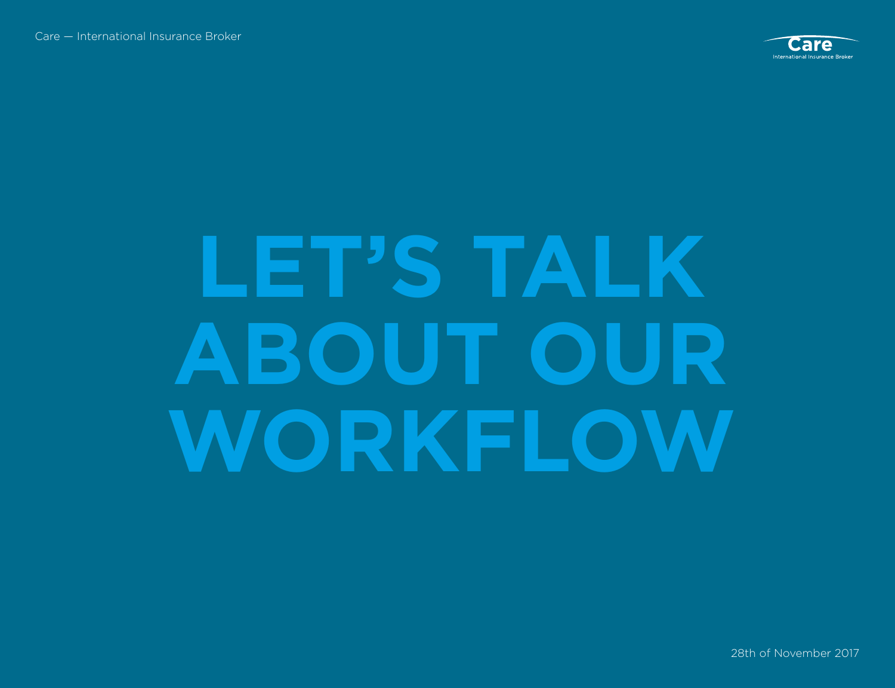

### **LET'S TALK ABOUT OUR WORKFLOW**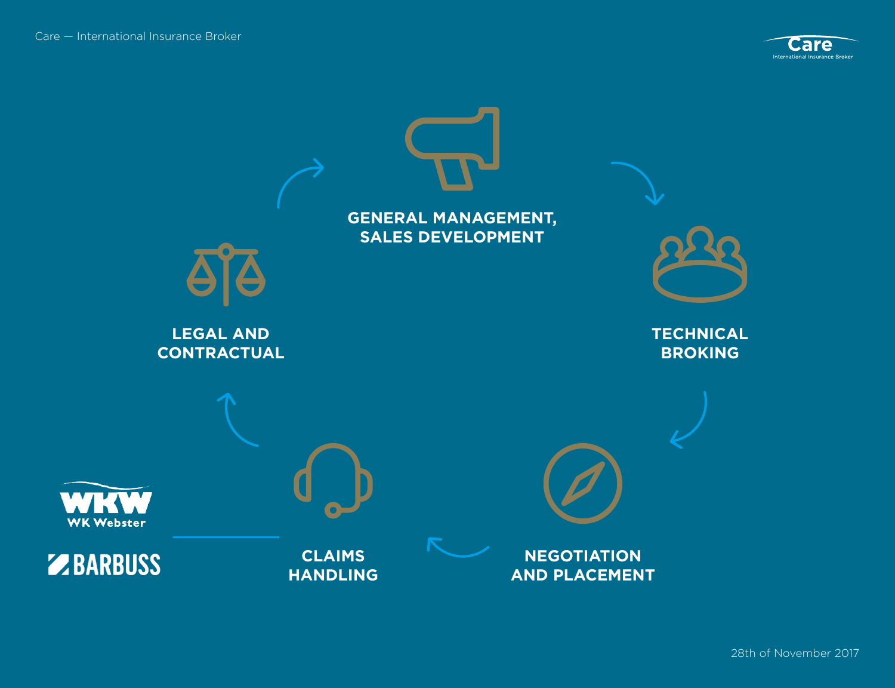

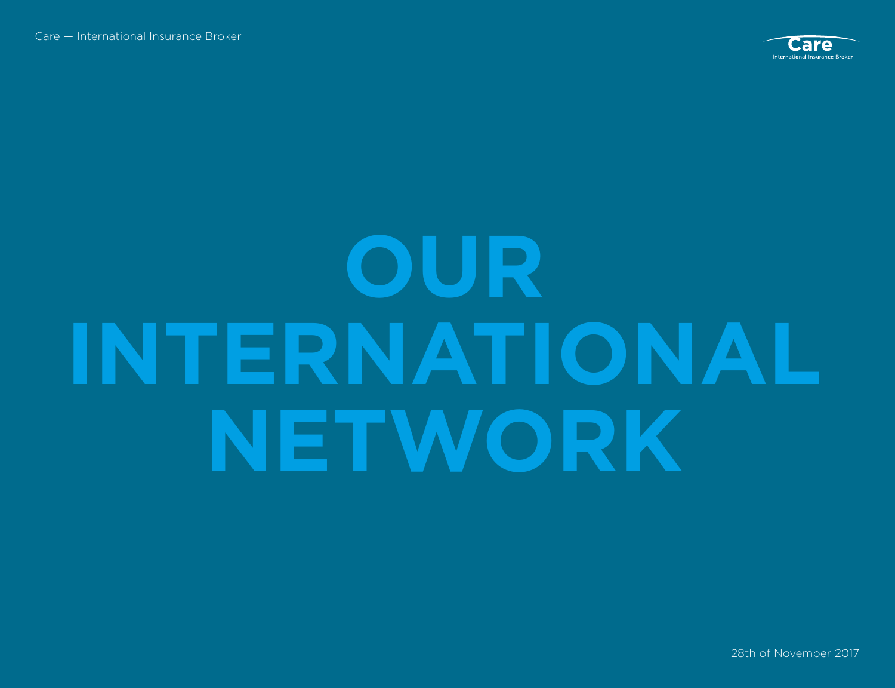

### **OUR INTERNATIONAL NETWORK**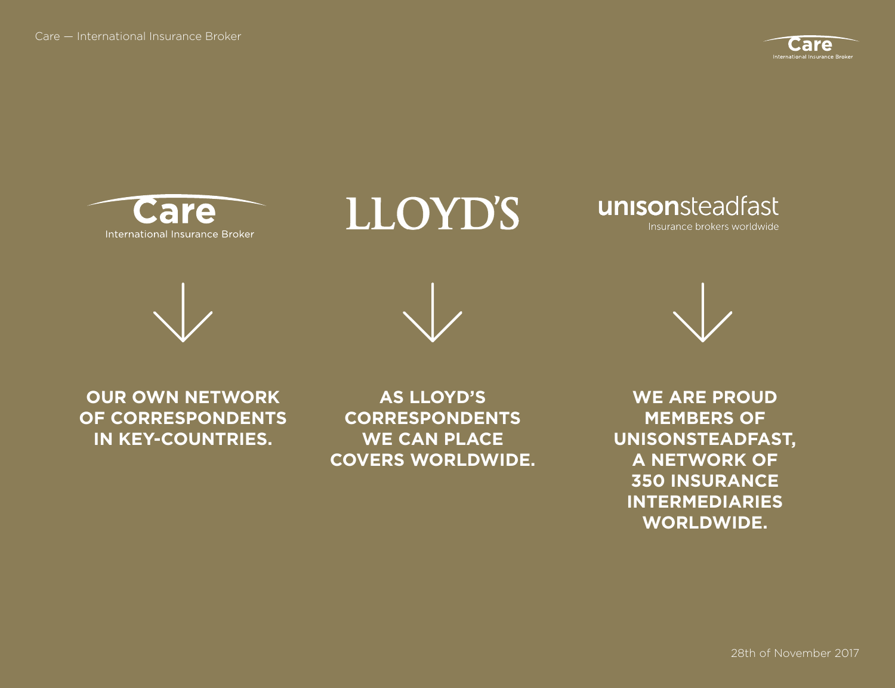





unisonsteadfast Insurance brokers worldwide





**OUR OWN NETWORK OF CORRESPONDENTS IN KEY-COUNTRIES.** 

**AS LLOYD'S CORRESPONDENTS WE CAN PLACE COVERS WORLDWIDE.**

**WE ARE PROUD MEMBERS OF UNISONSTEADFAST, A NETWORK OF 350 INSURANCE INTERMEDIARIES WORLDWIDE.**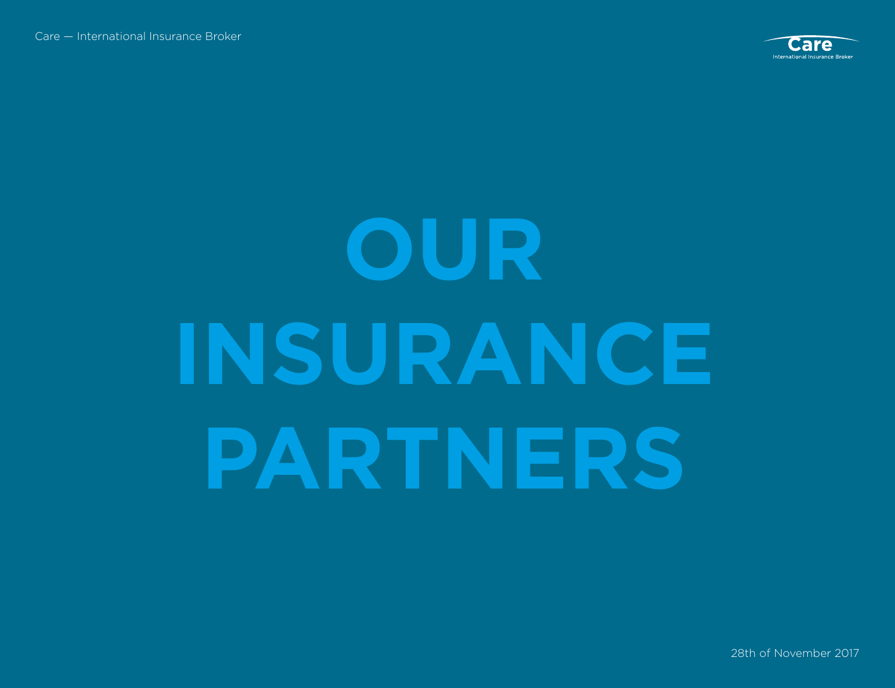

### **OUR INSURANCE PARTNERS**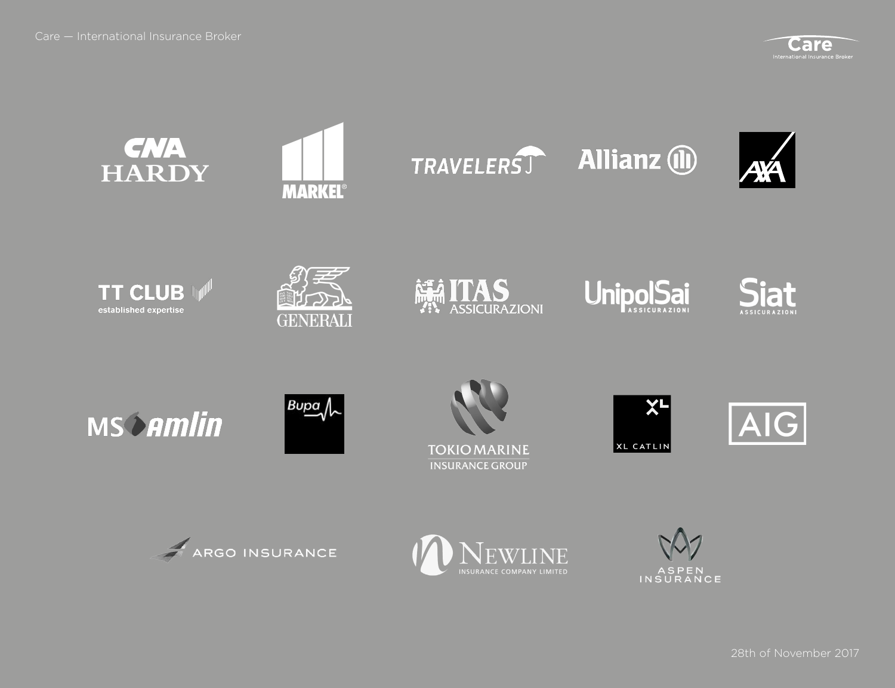



ASPEN<br>INSURANCE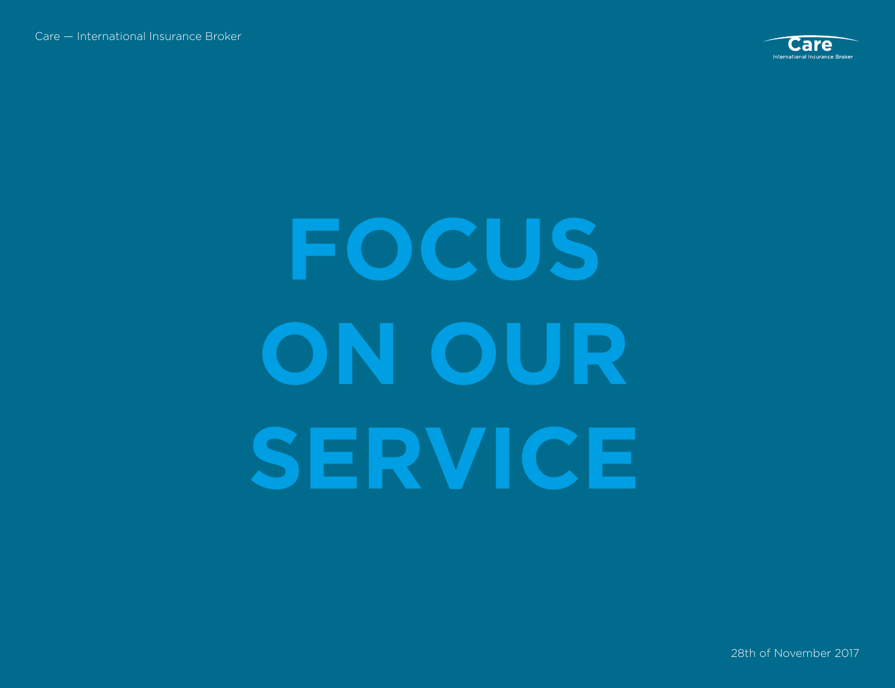

### **FOCUS ON OUR SERVICE**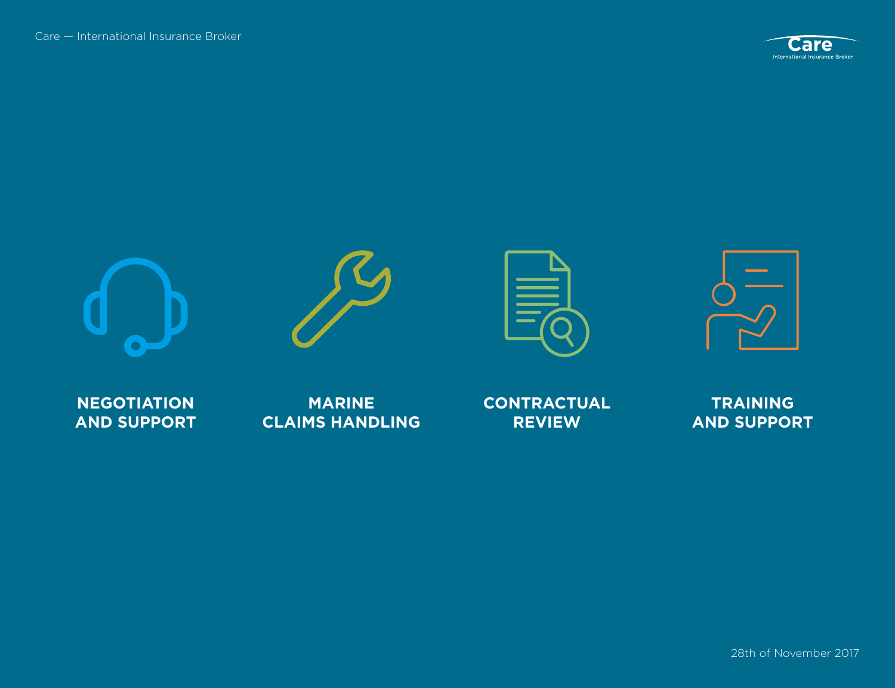









**NEGOTIATION AND SUPPORT**

**MARINE CLAIMS HANDLING** **CONTRACTUAL REVIEW**

**TRAINING AND SUPPORT**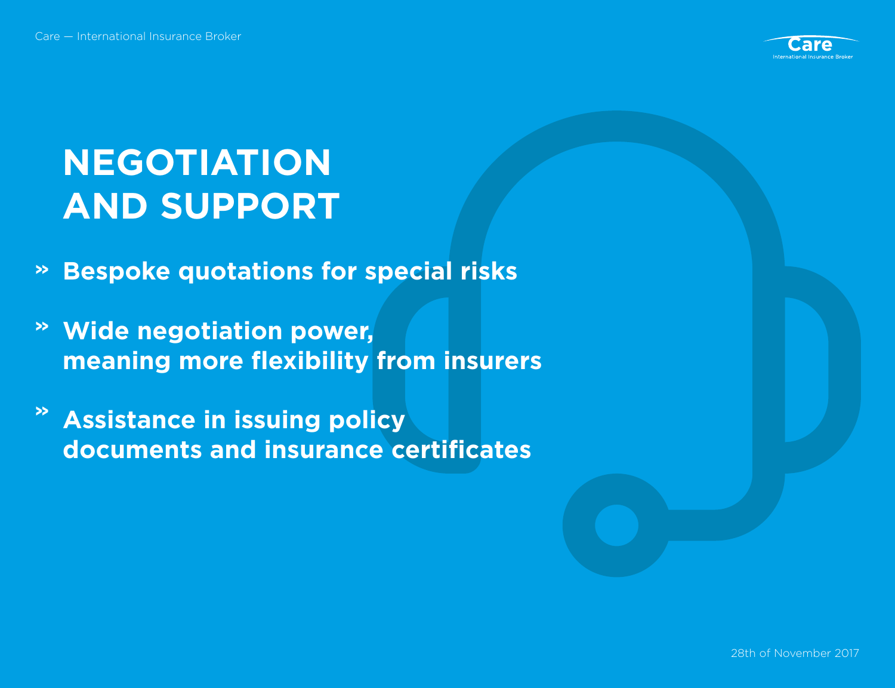

#### **NEGOTIATION AND SUPPORT**

- **Bespoke quotations for special risks »**
- **Wide negotiation power, » meaning more flexibility from insurers**
- **Assistance in issuing policy » documents and insurance certificates**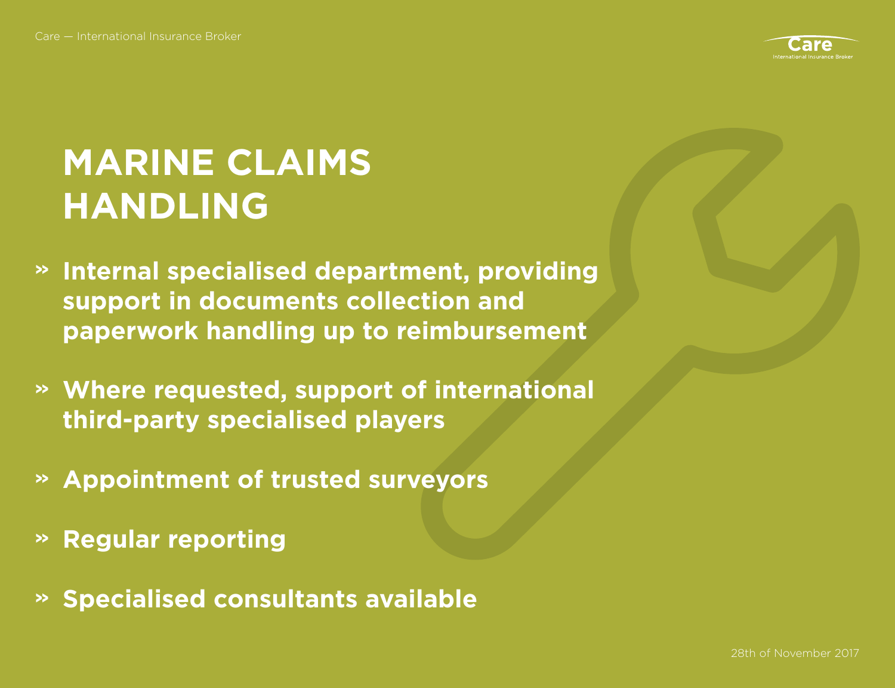

#### **MARINE CLAIMS HANDLING**

- **Internal specialised department, providing » support in documents collection and paperwork handling up to reimbursement**
- **Where requested, support of international » third-party specialised players**
- **Appointment of trusted surveyors »**
- **Regular reporting »**
- **Specialised consultants available »**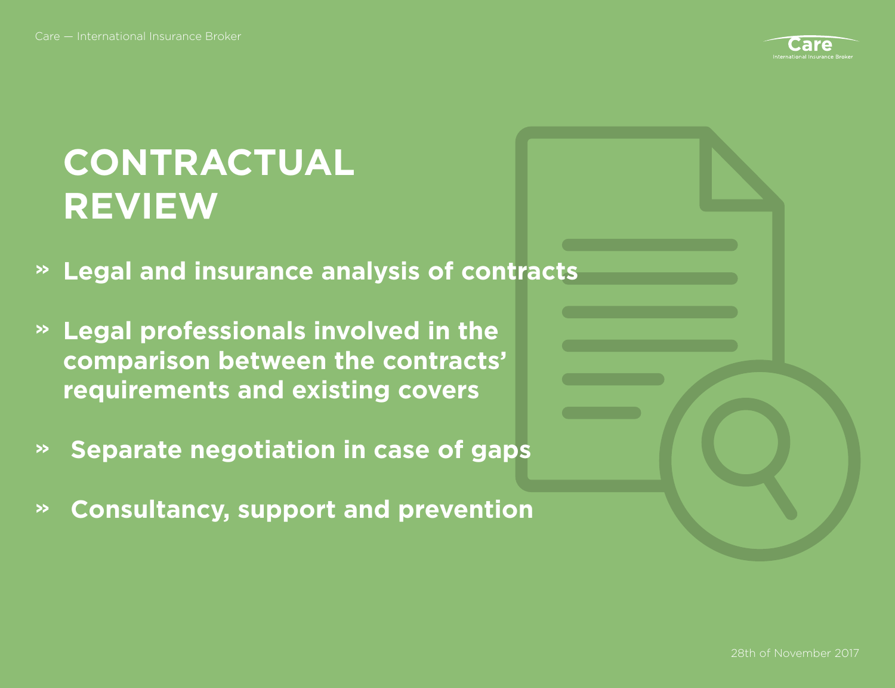

#### **CONTRACTUAL REVIEW**

- **Legal and insurance analysis of contracts »**
- **Legal professionals involved in the » comparison between the contracts' requirements and existing covers**
- **Separate negotiation in case of gaps »**
- **Consultancy, support and prevention »**

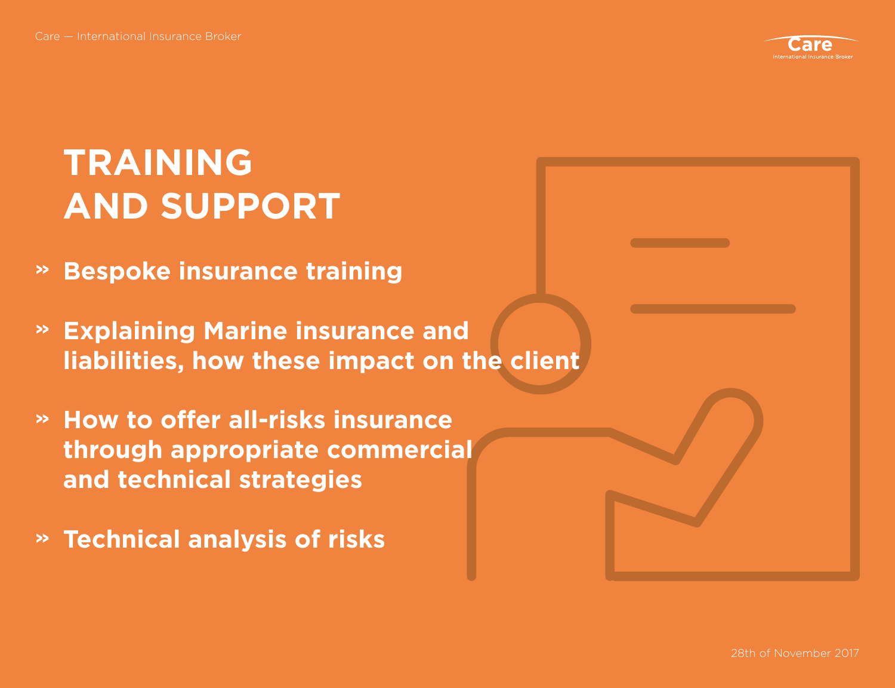

#### **TRAINING AND SUPPORT**

- **Bespoke insurance training »**
- **Explaining Marine insurance and » liabilities, how these impact on the client**
- **How to offer all-risks insurance » through appropriate commercial and technical strategies**
- **Technical analysis of risks »**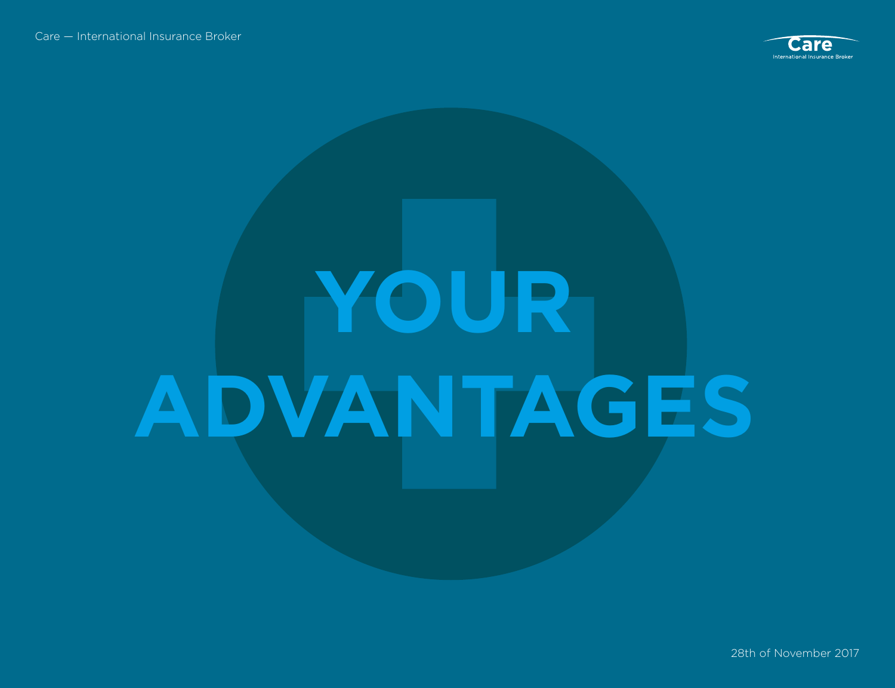

# **YOUR ADVANTAGES**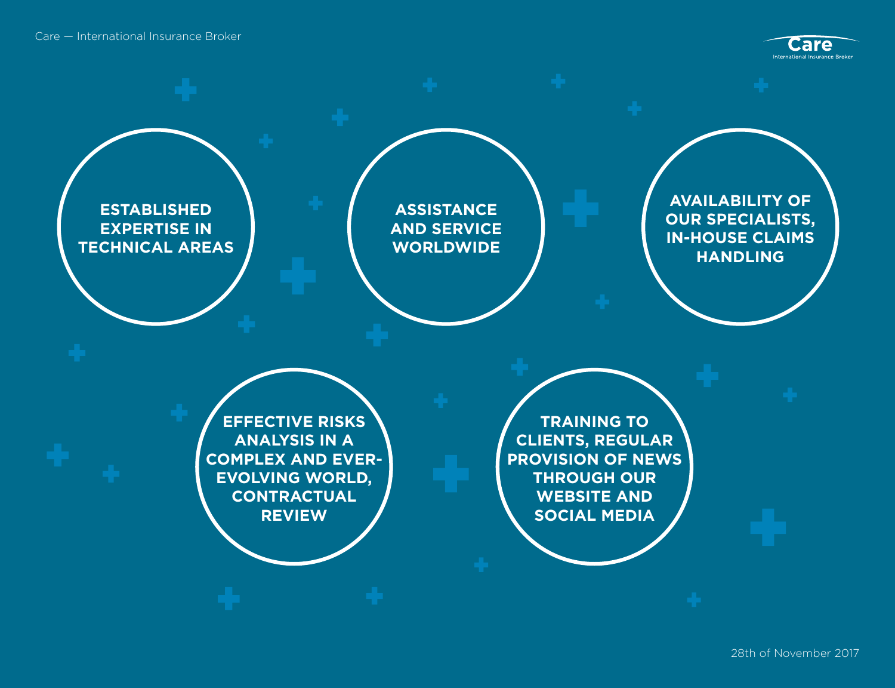Care — International Insurance Broker



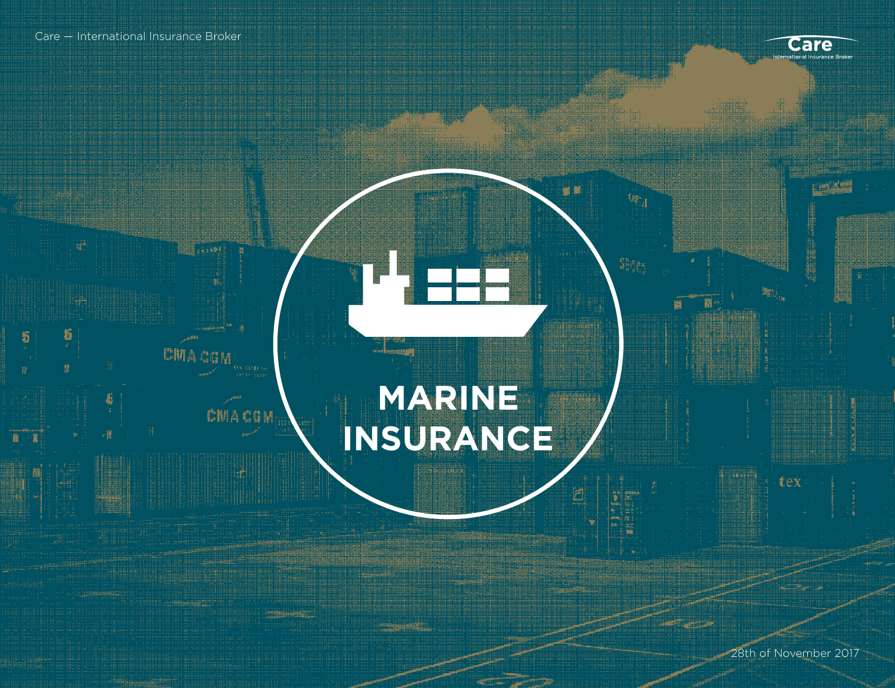HELL LAND

CMACOM

崔

CHACIN

**RALLER HELPE** 



a da kasa

#### **MARINE INSURANCE**

ERRE HANDLER

HI.

Ë

 $\mathbb{R}^2$ 

副

剪辑转码

BUNGAL

**Thursday** 

圖

28th of November 2017

tex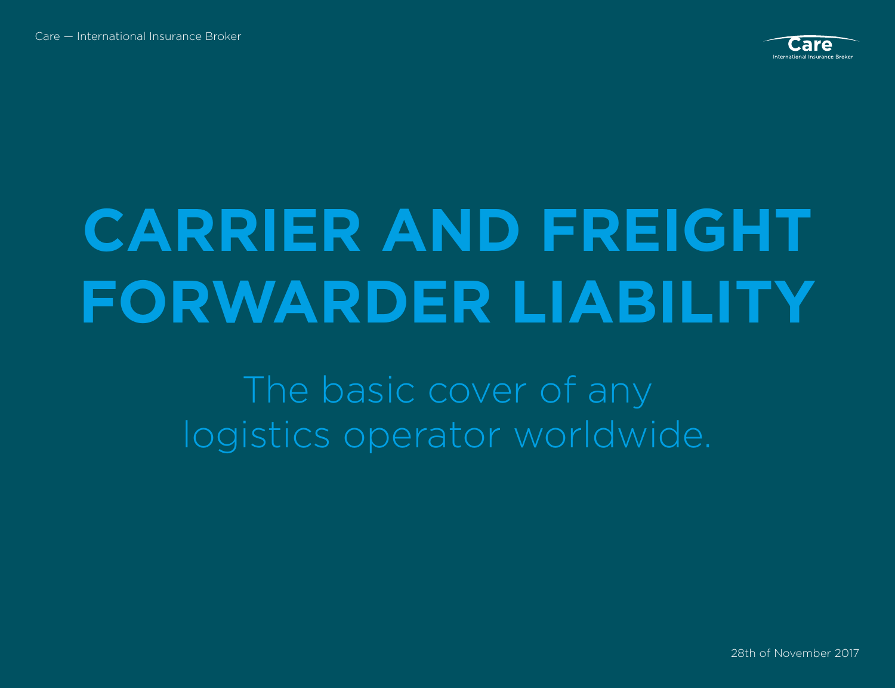

#### **CARRIER AND FREIGHT FORWARDER LIABILITY**

The basic cover of any logistics operator worldwide.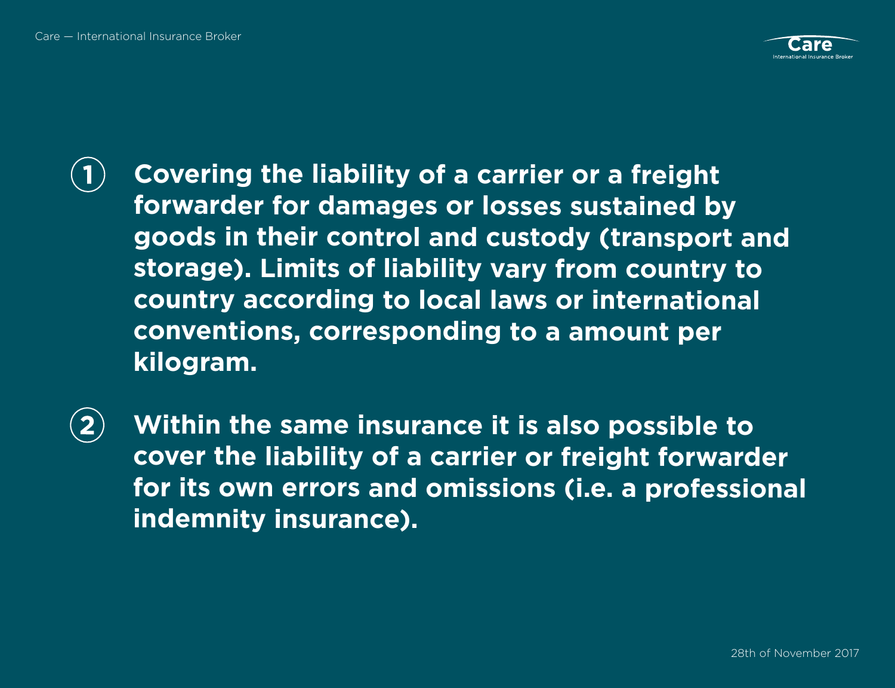

 $\blacksquare$ 

**Covering the liability of a carrier or a freight forwarder for damages or losses sustained by goods in their control and custody (transport and storage). Limits of liability vary from country to country according to local laws or international conventions, corresponding to a amount per kilogram.** 

**Within the same insurance it is also possible to**   $\overline{2}$ **cover the liability of a carrier or freight forwarder for its own errors and omissions (i.e. a professional indemnity insurance).**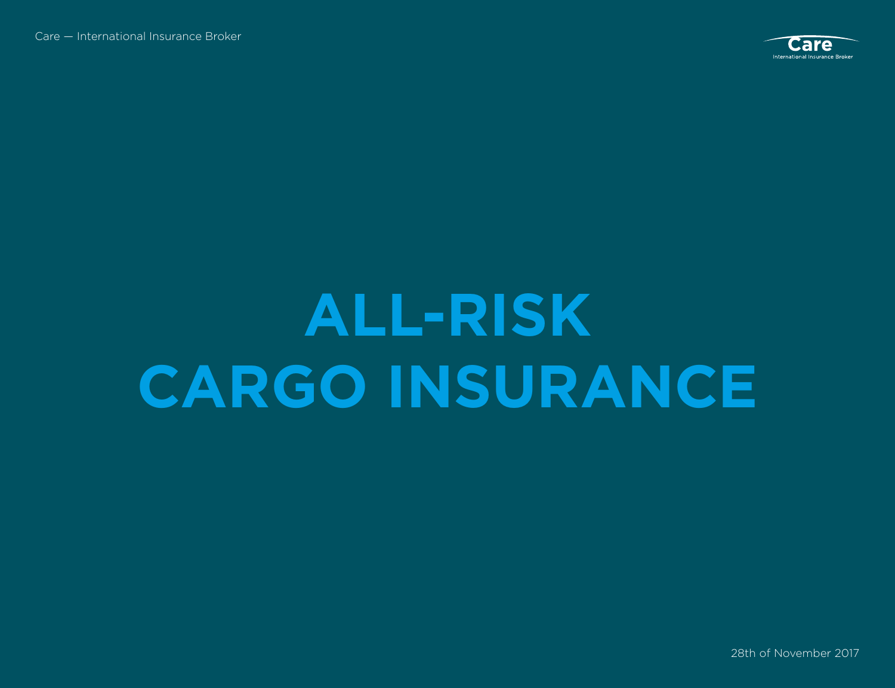

#### **ALL-RISK CARGO INSURANCE**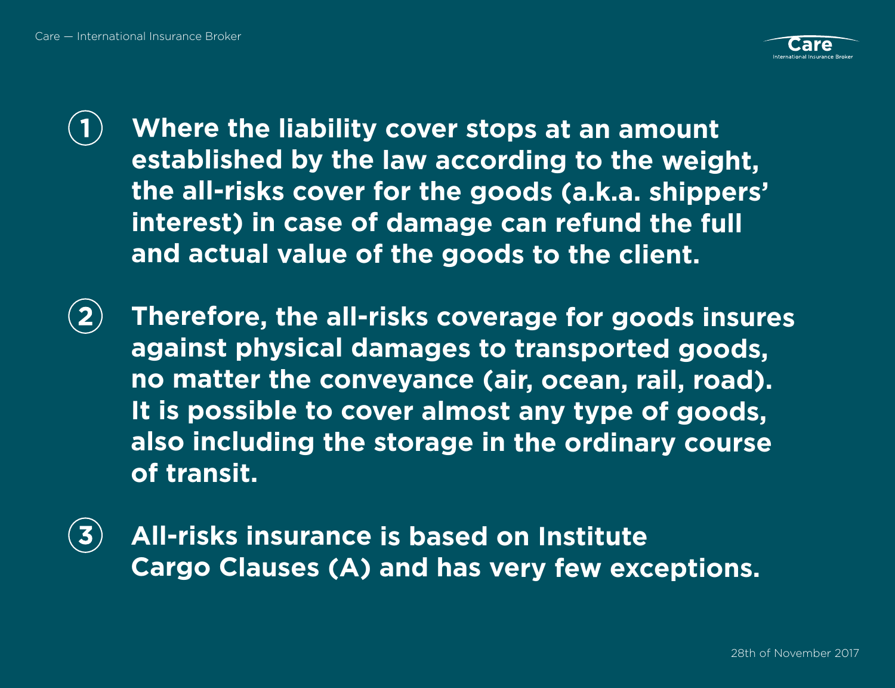

 $\mathbf{1}$ 

**Where the liability cover stops at an amount established by the law according to the weight, the all-risks cover for the goods (a.k.a. shippers' interest) in case of damage can refund the full and actual value of the goods to the client.** 

- $\overline{2}$ **Therefore, the all-risks coverage for goods insures against physical damages to transported goods, no matter the conveyance (air, ocean, rail, road). It is possible to cover almost any type of goods, also including the storage in the ordinary course of transit.**
- **All-risks insurance is based on Institute Cargo Clauses (A) and has very few exceptions.**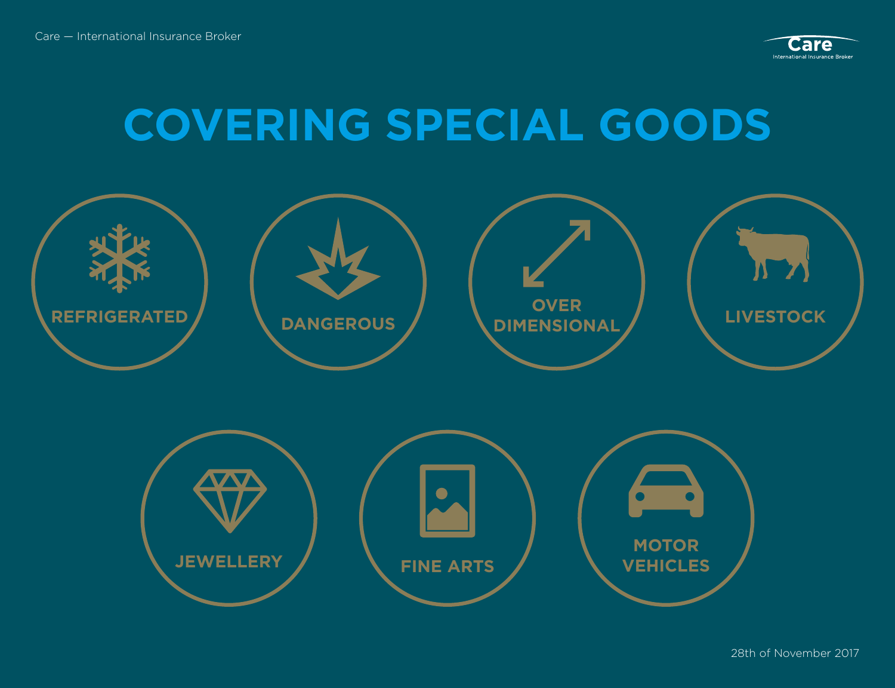

#### **COVERING SPECIAL GOODS**

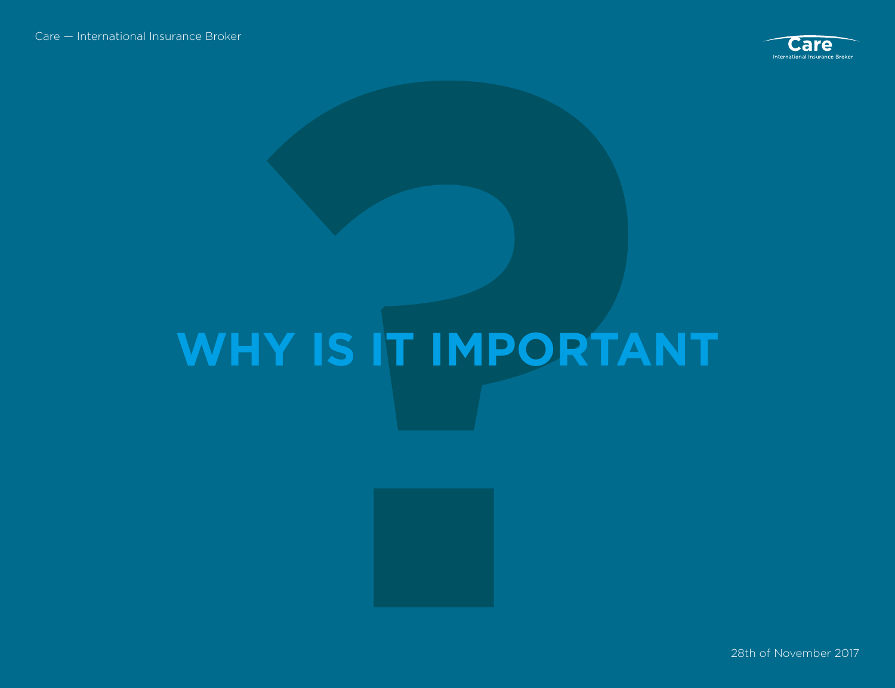

### **WHY IS IT IMPORTANT**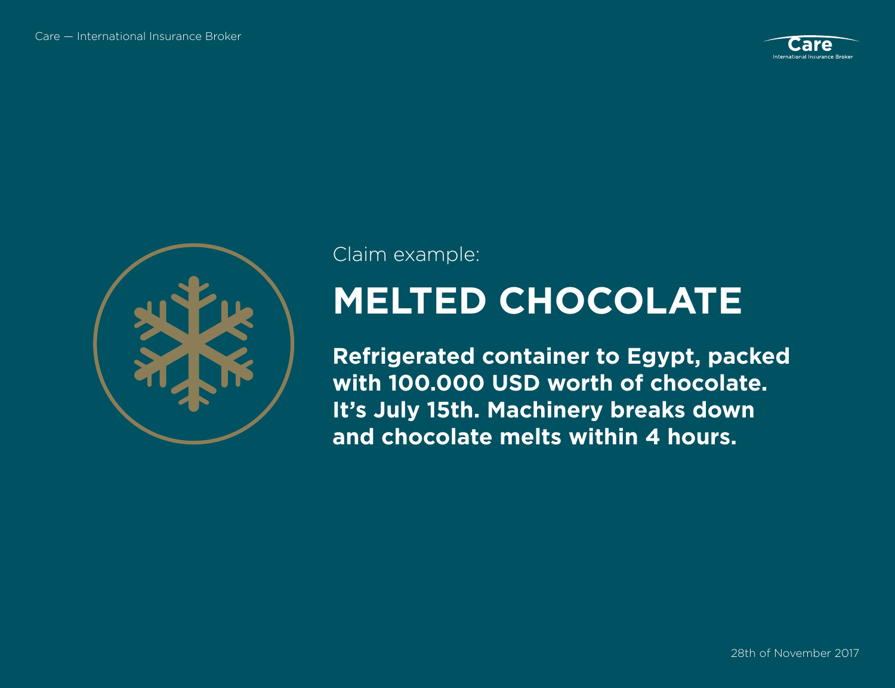



Claim example:

#### **MELTED CHOCOLATE**

**Refrigerated container to Egypt, packed with 100.000 USD worth of chocolate. It's July 15th. Machinery breaks down and chocolate melts within 4 hours.**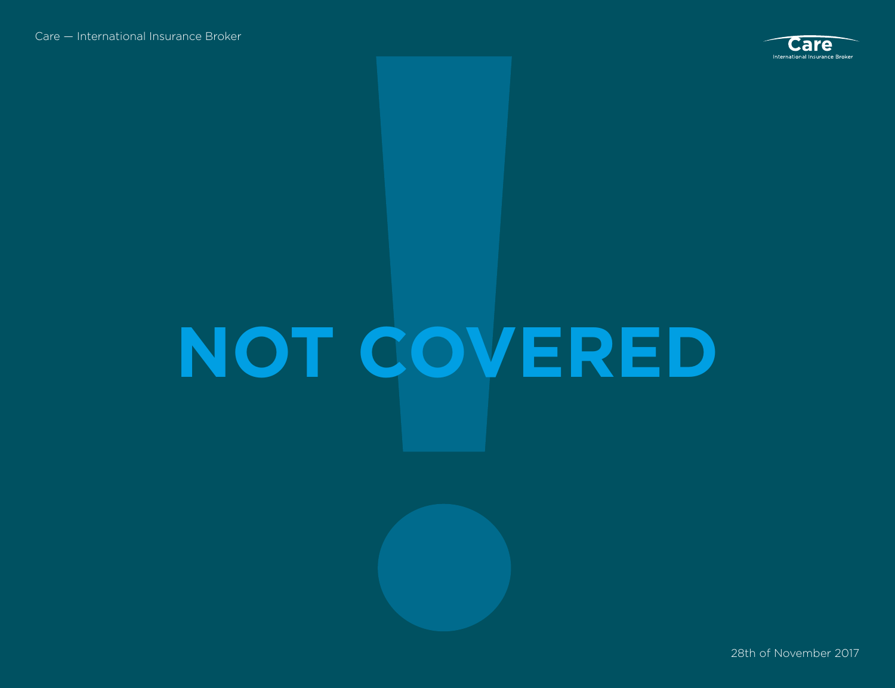

## **NOT COVERED**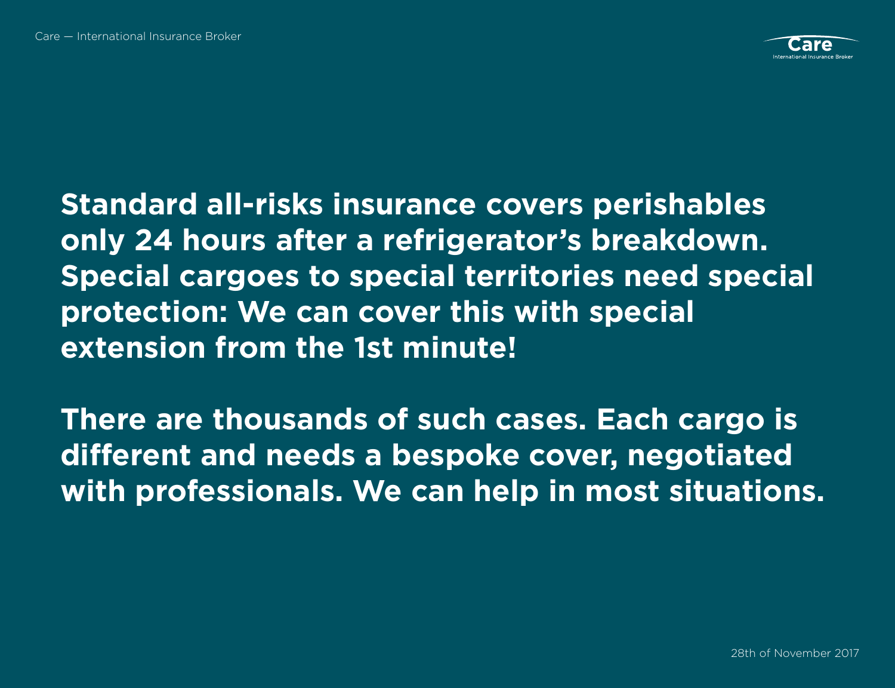

**Standard all-risks insurance covers perishables only 24 hours after a refrigerator's breakdown. Special cargoes to special territories need special protection: We can cover this with special extension from the 1st minute!**

**There are thousands of such cases. Each cargo is different and needs a bespoke cover, negotiated with professionals. We can help in most situations.**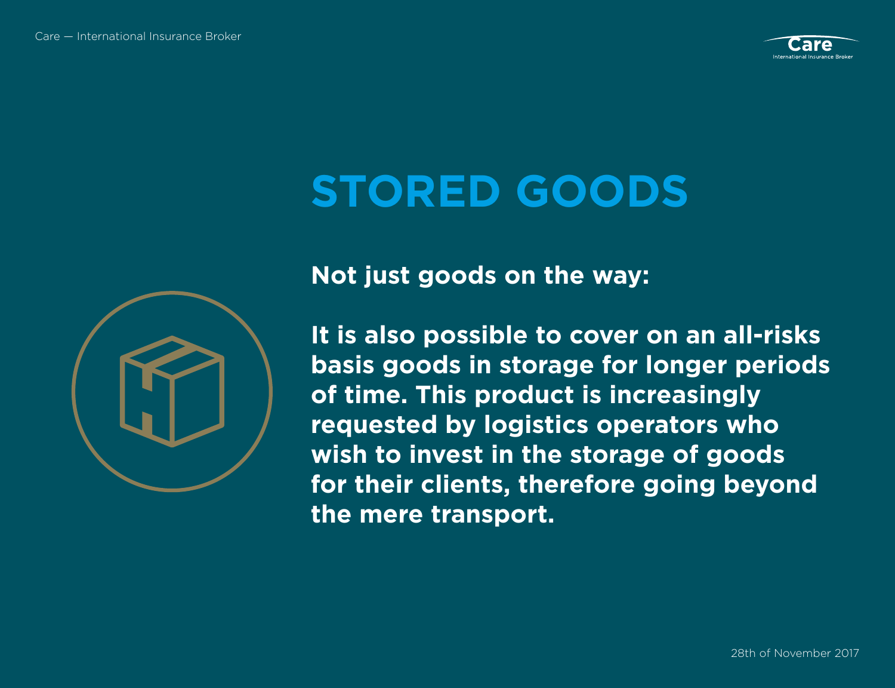

#### **STORED GOODS**



**Not just goods on the way:** 

**It is also possible to cover on an all-risks basis goods in storage for longer periods of time. This product is increasingly requested by logistics operators who wish to invest in the storage of goods for their clients, therefore going beyond the mere transport.**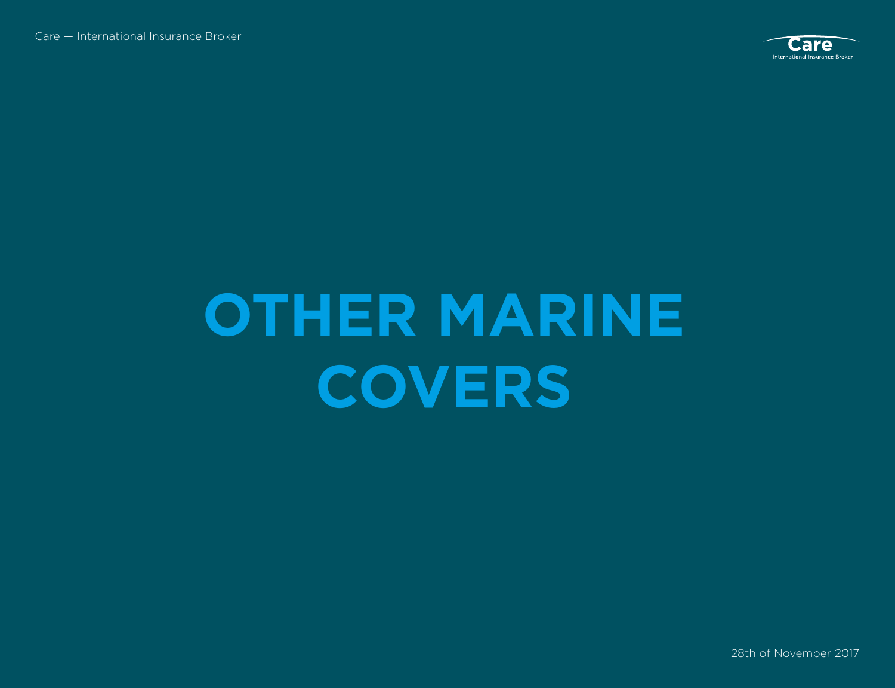

#### **OTHER MARINE COVERS**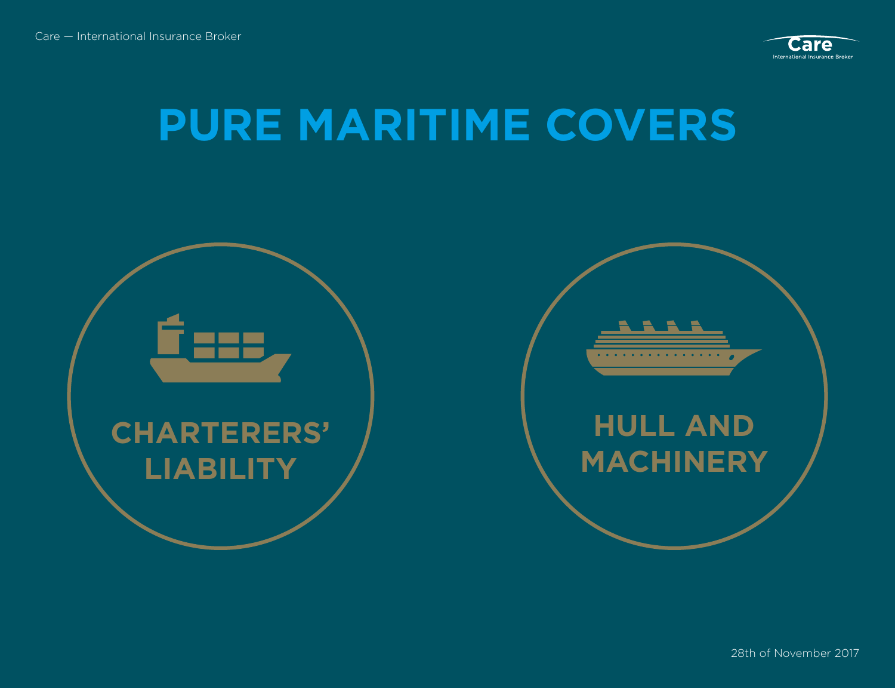

#### **PURE MARITIME COVERS**



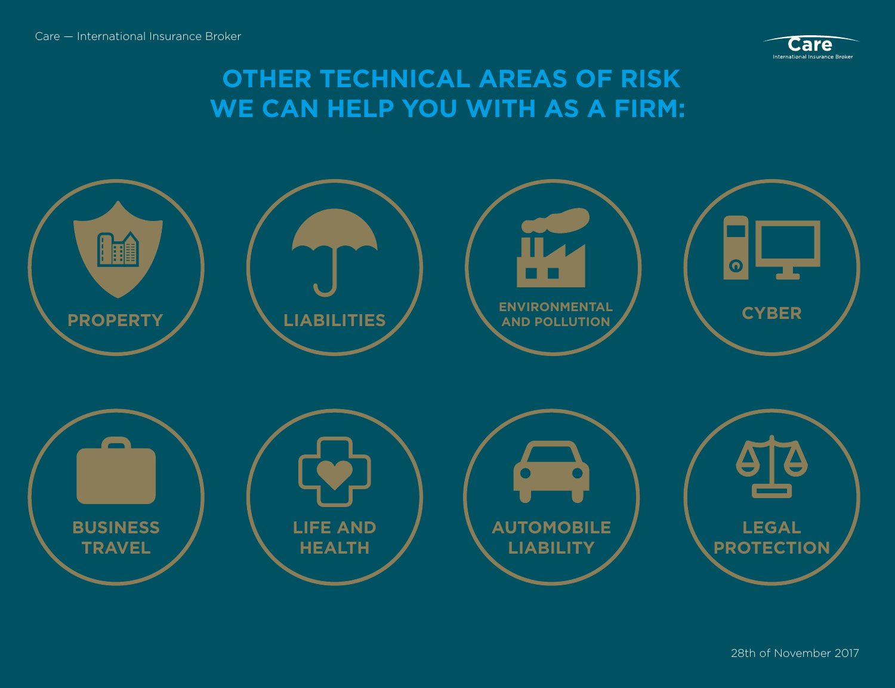

#### **OTHER TECHNICAL AREAS OF RISK WE CAN HELP YOU WITH AS A FIRM:**

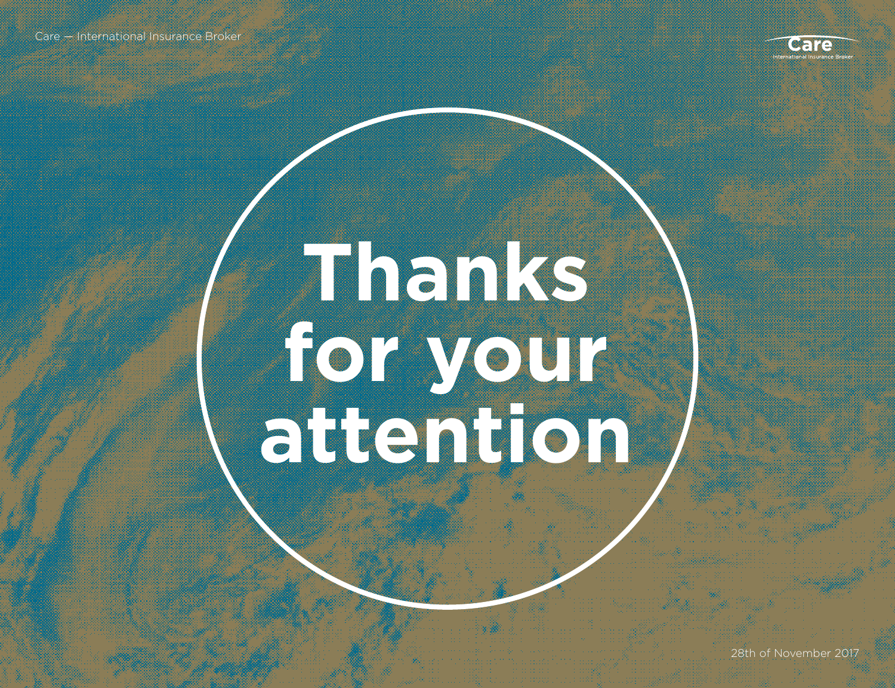

### **Thanks for your attention**